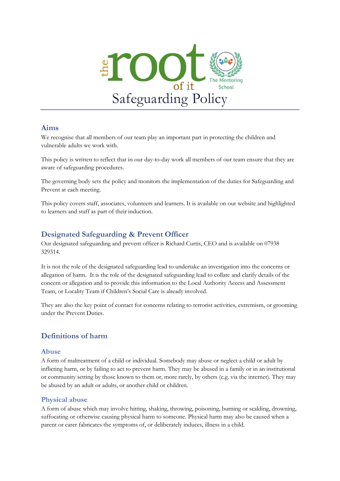

### **Aims**

We recognise that all members of our team play an important part in protecting the children and vulnerable adults we work with.

This policy is written to reflect that in our day-to-day work all members of our team ensure that they are aware of safeguarding procedures.

The governing body sets the policy and monitors the implementation of the duties for Safeguarding and Prevent at each meeting.

This policy covers staff, associates, volunteers and learners. It is available on our website and highlighted to learners and staff as part of their induction.

## **Designated Safeguarding & Prevent Officer**

Our designated safeguarding and prevent officer is Richard Curtis, CEO and is available on 07938 329314.

It is not the role of the designated safeguarding lead to undertake an investigation into the concerns or allegation of harm. It is the role of the designated safeguarding lead to collate and clarify details of the concern or allegation and to provide this information to the Local Authority Access and Assessment Team, or Locality Team if Children's Social Care is already involved.

They are also the key point of contact for concerns relating to terrorist activities, extremism, or grooming under the Prevent Duties.

## **Definitions of harm**

#### **Abuse**

A form of maltreatment of a child or individual. Somebody may abuse or neglect a child or adult by inflicting harm, or by failing to act to prevent harm. They may be abused in a family or in an institutional or community setting by those known to them or, more rarely, by others (e.g. via the internet). They may be abused by an adult or adults, or another child or children.

### **Physical abuse**

A form of abuse which may involve hitting, shaking, throwing, poisoning, burning or scalding, drowning, suffocating or otherwise causing physical harm to someone. Physical harm may also be caused when a parent or carer fabricates the symptoms of, or deliberately induces, illness in a child.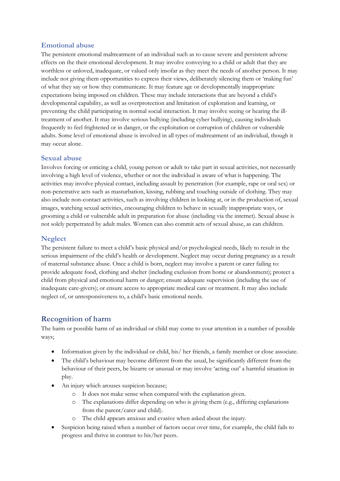### **Emotional abuse**

The persistent emotional maltreatment of an individual such as to cause severe and persistent adverse effects on the their emotional development. It may involve conveying to a child or adult that they are worthless or unloved, inadequate, or valued only insofar as they meet the needs of another person. It may include not giving them opportunities to express their views, deliberately silencing them or 'making fun' of what they say or how they communicate. It may feature age or developmentally inappropriate expectations being imposed on children. These may include interactions that are beyond a child's developmental capability, as well as overprotection and limitation of exploration and learning, or preventing the child participating in normal social interaction. It may involve seeing or hearing the illtreatment of another. It may involve serious bullying (including cyber bullying), causing individuals frequently to feel frightened or in danger, or the exploitation or corruption of children or vulnerable adults. Some level of emotional abuse is involved in all types of maltreatment of an individual, though it may occur alone.

#### **Sexual abuse**

Involves forcing or enticing a child, young person or adult to take part in sexual activities, not necessarily involving a high level of violence, whether or not the individual is aware of what is happening. The activities may involve physical contact, including assault by penetration (for example, rape or oral sex) or non-penetrative acts such as masturbation, kissing, rubbing and touching outside of clothing. They may also include non-contact activities, such as involving children in looking at, or in the production of, sexual images, watching sexual activities, encouraging children to behave in sexually inappropriate ways, or grooming a child or vulnerable adult in preparation for abuse (including via the internet). Sexual abuse is not solely perpetrated by adult males. Women can also commit acts of sexual abuse, as can children.

#### **Neglect**

The persistent failure to meet a child's basic physical and/or psychological needs, likely to result in the serious impairment of the child's health or development. Neglect may occur during pregnancy as a result of maternal substance abuse. Once a child is born, neglect may involve a parent or carer failing to: provide adequate food, clothing and shelter (including exclusion from home or abandonment); protect a child from physical and emotional harm or danger; ensure adequate supervision (including the use of inadequate care-givers); or ensure access to appropriate medical care or treatment. It may also include neglect of, or unresponsiveness to, a child's basic emotional needs.

## **Recognition of harm**

The harm or possible harm of an individual or child may come to your attention in a number of possible ways;

- Information given by the individual or child, his/ her friends, a family member or close associate.
- The child's behaviour may become different from the usual, be significantly different from the behaviour of their peers, be bizarre or unusual or may involve 'acting out' a harmful situation in play.
- An injury which arouses suspicion because;
	- o It does not make sense when compared with the explanation given.
	- The explanations differ depending on who is giving them (e.g., differing explanations from the parent/carer and child).
	- The child appears anxious and evasive when asked about the injury.
- Suspicion being raised when a number of factors occur over time, for example, the child fails to progress and thrive in contrast to his/her peers.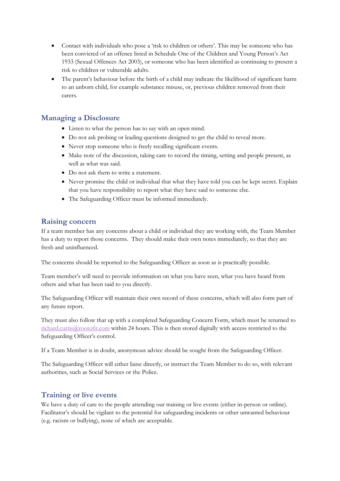- Contact with individuals who pose a 'risk to children or others'. This may be someone who has been convicted of an offence listed in Schedule One of the Children and Young Person's Act 1933 (Sexual Offences Act 2003), or someone who has been identified as continuing to present a risk to children or vulnerable adults.
- The parent's behaviour before the birth of a child may indicate the likelihood of significant harm to an unborn child, for example substance misuse, or, previous children removed from their carers.

### **Managing a Disclosure**

- Listen to what the person has to say with an open mind.
- Do not ask probing or leading questions designed to get the child to reveal more.
- Never stop someone who is freely recalling significant events.
- Make note of the discussion, taking care to record the timing, setting and people present, as well as what was said.
- Do not ask them to write a statement.
- Never promise the child or individual that what they have told you can be kept secret. Explain that you have responsibility to report what they have said to someone else.
- The Safeguarding Officer must be informed immediately.

## **Raising concern**

If a team member has any concerns about a child or individual they are working with, the Team Member has a duty to report those concerns. They should make their own notes immediately, so that they are fresh and uninfluenced.

The concerns should be reported to the Safeguarding Officer as soon as is practically possible.

Team member's will need to provide information on what you have seen, what you have heard from others and what has been said to you directly.

The Safeguarding Officer will maintain their own record of these concerns, which will also form part of any future report.

They must also follow that up with a completed Safeguarding Concern Form, which must be returned to [richard.curtis@rootofit.com](mailto:richard.curtis@rootofit.com) within 24 hours. This is then stored digitally with access restricted to the Safeguarding Officer's control.

If a Team Member is in doubt, anonymous advice should be sought from the Safeguarding Officer.

The Safeguarding Officer will either liaise directly, or instruct the Team Member to do so, with relevant authorities, such as Social Services or the Police.

## **Training or live events**

We have a duty of care to the people attending our training or live events (either in-person or online). Facilitator's should be vigilant to the potential for safeguarding incidents or other unwanted behaviour (e.g. racism or bullying), none of which are acceptable.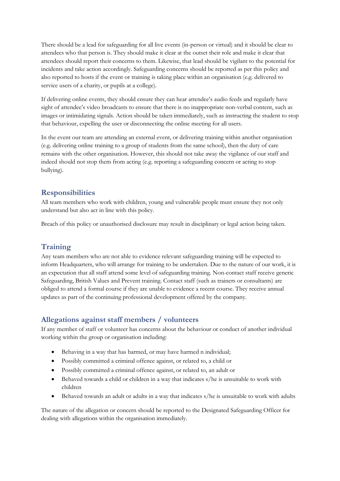There should be a lead for safeguarding for all live events (in-person or virtual) and it should be clear to attendees who that person is. They should make it clear at the outset their role and make it clear that attendees should report their concerns to them. Likewise, that lead should be vigilant to the potential for incidents and take action accordingly. Safeguarding concerns should be reported as per this policy and also reported to hosts if the event or training is taking place within an organisation (e.g. delivered to service users of a charity, or pupils at a college).

If delivering online events, they should ensure they can hear attendee's audio feeds and regularly have sight of attendee's video broadcasts to ensure that there is no inappropriate non-verbal content, such as images or intimidating signals. Action should be taken immediately, such as instructing the student to stop that behaviour, expelling the user or disconnecting the online meeting for all users.

In the event our team are attending an external event, or delivering training within another organisation (e.g. delivering online training to a group of students from the same school), then the duty of care remains with the other organisation. However, this should not take away the vigilance of our staff and indeed should not stop them from acting (e.g. reporting a safeguarding concern or acting to stop bullying).

### **Responsibilities**

All team members who work with children, young and vulnerable people must ensure they not only understand but also act in line with this policy.

Breach of this policy or unauthorised disclosure may result in disciplinary or legal action being taken.

## **Training**

Any team members who are not able to evidence relevant safeguarding training will be expected to inform Headquarters, who will arrange for training to be undertaken. Due to the nature of our work, it is an expectation that all staff attend some level of safeguarding training. Non-contact staff receive generic Safeguarding, British Values and Prevent training. Contact staff (such as trainers or consultants) are obliged to attend a formal course if they are unable to evidence a recent course. They receive annual updates as part of the continuing professional development offered by the company.

## **Allegations against staff members / volunteers**

If any member of staff or volunteer has concerns about the behaviour or conduct of another individual working within the group or organisation including:

- Behaving in a way that has harmed, or may have harmed n individual;
- Possibly committed a criminal offence against, or related to, a child or
- Possibly committed a criminal offence against, or related to, an adult or
- Behaved towards a child or children in a way that indicates s/he is unsuitable to work with children
- Behaved towards an adult or adults in a way that indicates s/he is unsuitable to work with adults

The nature of the allegation or concern should be reported to the Designated Safeguarding Officer for dealing with allegations within the organisation immediately.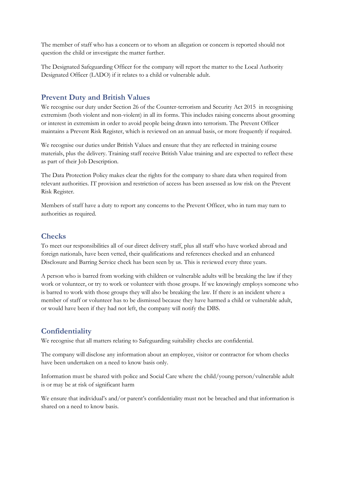The member of staff who has a concern or to whom an allegation or concern is reported should not question the child or investigate the matter further.

The Designated Safeguarding Officer for the company will report the matter to the Local Authority Designated Officer (LADO) if it relates to a child or vulnerable adult.

## **Prevent Duty and British Values**

We recognise our duty under Section 26 of the Counter-terrorism and Security Act 2015 in recognising extremism (both violent and non-violent) in all its forms. This includes raising concerns about grooming or interest in extremism in order to avoid people being drawn into terrorism. The Prevent Officer maintains a Prevent Risk Register, which is reviewed on an annual basis, or more frequently if required.

We recognise our duties under British Values and ensure that they are reflected in training course materials, plus the delivery. Training staff receive British Value training and are expected to reflect these as part of their Job Description.

The Data Protection Policy makes clear the rights for the company to share data when required from relevant authorities. IT provision and restriction of access has been assessed as low risk on the Prevent Risk Register.

Members of staff have a duty to report any concerns to the Prevent Officer, who in turn may turn to authorities as required.

### **Checks**

To meet our responsibilities all of our direct delivery staff, plus all staff who have worked abroad and foreign nationals, have been vetted, their qualifications and references checked and an enhanced Disclosure and Barring Service check has been seen by us. This is reviewed every three years.

A person who is barred from working with children or vulnerable adults will be breaking the law if they work or volunteer, or try to work or volunteer with those groups. If we knowingly employs someone who is barred to work with those groups they will also be breaking the law. If there is an incident where a member of staff or volunteer has to be dismissed because they have harmed a child or vulnerable adult, or would have been if they had not left, the company will notify the DBS.

## **Confidentiality**

We recognise that all matters relating to Safeguarding suitability checks are confidential.

The company will disclose any information about an employee, visitor or contractor for whom checks have been undertaken on a need to know basis only.

Information must be shared with police and Social Care where the child/young person/vulnerable adult is or may be at risk of significant harm

We ensure that individual's and/or parent's confidentiality must not be breached and that information is shared on a need to know basis.